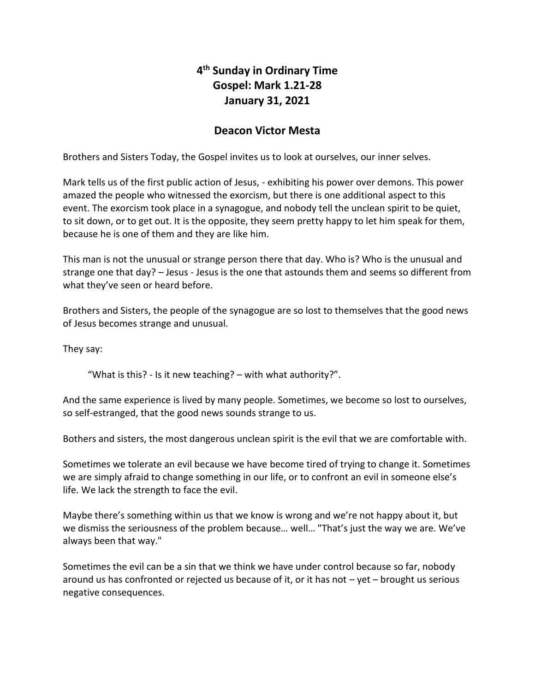## **4 th Sunday in Ordinary Time Gospel: Mark 1.21-28 January 31, 2021**

## **Deacon Victor Mesta**

Brothers and Sisters Today, the Gospel invites us to look at ourselves, our inner selves.

Mark tells us of the first public action of Jesus, - exhibiting his power over demons. This power amazed the people who witnessed the exorcism, but there is one additional aspect to this event. The exorcism took place in a synagogue, and nobody tell the unclean spirit to be quiet, to sit down, or to get out. It is the opposite, they seem pretty happy to let him speak for them, because he is one of them and they are like him.

This man is not the unusual or strange person there that day. Who is? Who is the unusual and strange one that day? – Jesus - Jesus is the one that astounds them and seems so different from what they've seen or heard before.

Brothers and Sisters, the people of the synagogue are so lost to themselves that the good news of Jesus becomes strange and unusual.

They say:

"What is this? - Is it new teaching? – with what authority?".

And the same experience is lived by many people. Sometimes, we become so lost to ourselves, so self-estranged, that the good news sounds strange to us.

Bothers and sisters, the most dangerous unclean spirit is the evil that we are comfortable with.

Sometimes we tolerate an evil because we have become tired of trying to change it. Sometimes we are simply afraid to change something in our life, or to confront an evil in someone else's life. We lack the strength to face the evil.

Maybe there's something within us that we know is wrong and we're not happy about it, but we dismiss the seriousness of the problem because… well… "That's just the way we are. We've always been that way."

Sometimes the evil can be a sin that we think we have under control because so far, nobody around us has confronted or rejected us because of it, or it has not  $-$  yet  $-$  brought us serious negative consequences.